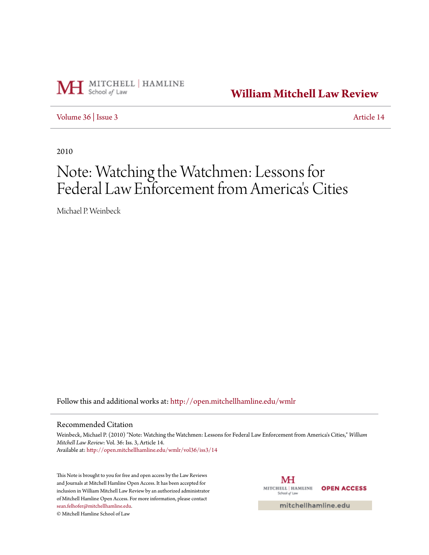

**[William Mitchell Law Review](http://open.mitchellhamline.edu/wmlr?utm_source=open.mitchellhamline.edu%2Fwmlr%2Fvol36%2Fiss3%2F14&utm_medium=PDF&utm_campaign=PDFCoverPages)**

[Volume 36](http://open.mitchellhamline.edu/wmlr/vol36?utm_source=open.mitchellhamline.edu%2Fwmlr%2Fvol36%2Fiss3%2F14&utm_medium=PDF&utm_campaign=PDFCoverPages) | [Issue 3](http://open.mitchellhamline.edu/wmlr/vol36/iss3?utm_source=open.mitchellhamline.edu%2Fwmlr%2Fvol36%2Fiss3%2F14&utm_medium=PDF&utm_campaign=PDFCoverPages) [Article 14](http://open.mitchellhamline.edu/wmlr/vol36/iss3/14?utm_source=open.mitchellhamline.edu%2Fwmlr%2Fvol36%2Fiss3%2F14&utm_medium=PDF&utm_campaign=PDFCoverPages)

2010

# Note: Watching the Watchmen: Lessons for Federal Law Enforcement from America 's Cities

Michael P. Weinbeck

Follow this and additional works at: [http://open.mitchellhamline.edu/wmlr](http://open.mitchellhamline.edu/wmlr?utm_source=open.mitchellhamline.edu%2Fwmlr%2Fvol36%2Fiss3%2F14&utm_medium=PDF&utm_campaign=PDFCoverPages)

#### Recommended Citation

Weinbeck, Michael P. (2010) "Note: Watching the Watchmen: Lessons for Federal Law Enforcement from America's Cities," *William Mitchell Law Review*: Vol. 36: Iss. 3, Article 14. Available at: [http://open.mitchellhamline.edu/wmlr/vol36/iss3/14](http://open.mitchellhamline.edu/wmlr/vol36/iss3/14?utm_source=open.mitchellhamline.edu%2Fwmlr%2Fvol36%2Fiss3%2F14&utm_medium=PDF&utm_campaign=PDFCoverPages)

This Note is brought to you for free and open access by the Law Reviews and Journals at Mitchell Hamline Open Access. It has been accepted for inclusion in William Mitchell Law Review by an authorized administrator of Mitchell Hamline Open Access. For more information, please contact [sean.felhofer@mitchellhamline.edu](mailto:sean.felhofer@mitchellhamline.edu).

© Mitchell Hamline School of Law

MH MITCHELL | HAMLINE **OPEN ACCESS** School of Law

mitchellhamline.edu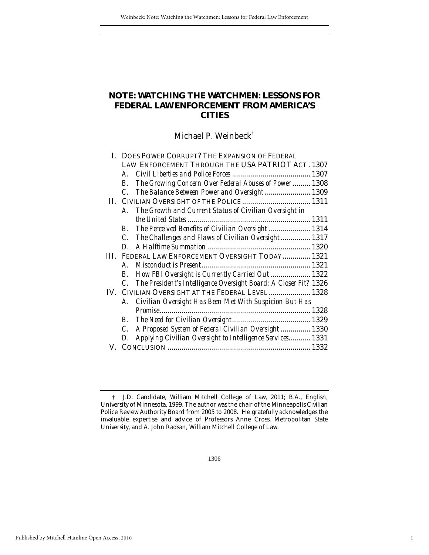# **NOTE: WATCHING THE WATCHMEN: LESSONS FOR FEDERAL LAW ENFORCEMENT FROM AMERICA'S CITIES**

Michael P. Weinbeck†

|     | I. DOES POWER CORRUPT? THE EXPANSION OF FEDERAL                                     |  |
|-----|-------------------------------------------------------------------------------------|--|
|     | LAW ENFORCEMENT THROUGH THE USA PATRIOT ACT. 1307                                   |  |
|     | A.                                                                                  |  |
|     | The Growing Concern Over Federal Abuses of Power 1308<br>В.                         |  |
|     | The Balance Between Power and Oversight 1309<br>$\mathcal{C}$                       |  |
| Н.  |                                                                                     |  |
|     | The Growth and Current Status of Civilian Oversight in<br>$\bm{A}$                  |  |
|     |                                                                                     |  |
|     | The Perceived Benefits of Civilian Oversight 1314<br>$\boldsymbol{B}$               |  |
|     | The Challenges and Flaws of Civilian Oversight 1317<br>C.                           |  |
|     | D                                                                                   |  |
|     | FEDERAL LAW ENFORCEMENT OVERSIGHT TODAY  1321                                       |  |
|     | A.                                                                                  |  |
|     | How FBI Oversight is Currently Carried Out 1322<br>В.                               |  |
|     | The President's Intelligence Oversight Board: A Closer Fit? 1326<br>$\mathcal{C}$ . |  |
| IV. | CIVILIAN OVERSIGHT AT THE FEDERAL LEVEL 1328                                        |  |
|     | A. Civilian Oversight Has Been Met With Suspicion But Has                           |  |
|     |                                                                                     |  |
|     | В.                                                                                  |  |
|     | A Proposed System of Federal Civilian Oversight  1330<br>$\mathcal{C}$ .            |  |
|     | Applying Civilian Oversight to Intelligence Services 1331<br>D.                     |  |
|     |                                                                                     |  |

1

 <sup>†</sup> J.D. Candidate, William Mitchell College of Law, 2011; B.A., English, University of Minnesota, 1999. The author was the chair of the Minneapolis Civilian Police Review Authority Board from 2005 to 2008. He gratefully acknowledges the invaluable expertise and advice of Professors Anne Cross, Metropolitan State University, and A. John Radsan, William Mitchell College of Law.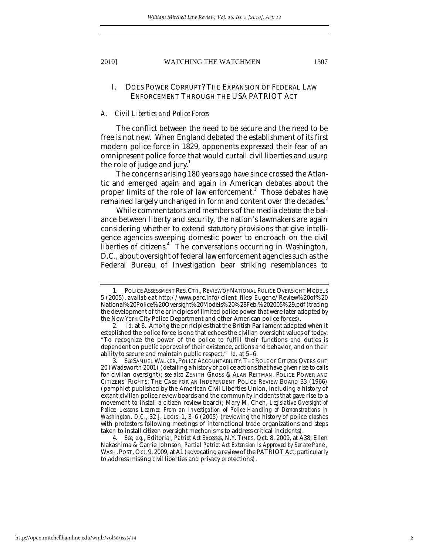### I. DOES POWER CORRUPT? THE EXPANSION OF FEDERAL LAW ENFORCEMENT THROUGH THE USA PATRIOT ACT

#### *A. Civil Liberties and Police Forces*

The conflict between the need to be secure and the need to be free is not new. When England debated the establishment of its first modern police force in 1829, opponents expressed their fear of an omnipresent police force that would curtail civil liberties and usurp the role of judge and jury. $\frac{1}{1}$ 

The concerns arising 180 years ago have since crossed the Atlantic and emerged again and again in American debates about the proper limits of the role of law enforcement.<sup>2</sup> Those debates have remained largely unchanged in form and content over the decades.<sup>3</sup>

While commentators and members of the media debate the balance between liberty and security, the nation's lawmakers are again considering whether to extend statutory provisions that give intelligence agencies sweeping domestic power to encroach on the civil liberties of citizens.<sup>4</sup> The conversations occurring in Washington, D.C., about oversight of federal law enforcement agencies such as the Federal Bureau of Investigation bear striking resemblances to

 <sup>1.</sup> POLICE ASSESSMENT RES.CTR., REVIEW OF NATIONAL POLICE OVERSIGHT MODELS 5 (2005), *available at* http://www.parc.info/client\_files/Eugene/Review%20of%20 National%20Police%20Oversight%20Models%20%28Feb.%202005%29.pdf (tracing the development of the principles of limited police power that were later adopted by the New York City Police Department and other American police forces).

 <sup>2.</sup> *Id.* at 6. Among the principles that the British Parliament adopted when it established the police force is one that echoes the civilian oversight values of today: "To recognize the power of the police to fulfill their functions and duties is dependent on public approval of their existence, actions and behavior, and on their ability to secure and maintain public respect." *Id*. at 5–6.

<sup>3</sup>*. See* SAMUEL WALKER, POLICE ACCOUNTABILITY:THE ROLE OF CITIZEN OVERSIGHT 20 (Wadsworth 2001) (detailing a history of police actions that have given rise to calls for civilian oversight); *see also* ZENITH GROSS & ALAN REITMAN, POLICE POWER AND CITIZENS' RIGHTS: THE CASE FOR AN INDEPENDENT POLICE REVIEW BOARD 33 (1966) (pamphlet published by the American Civil Liberties Union, including a history of extant civilian police review boards and the community incidents that gave rise to a movement to install a citizen review board)*;* Mary M. Cheh, *Legislative Oversight of Police: Lessons Learned From an Investigation of Police Handling of Demonstrations in Washington, D.C.*, 32 J. LEGIS. 1, 3-6 (2005) (reviewing the history of police clashes with protestors following meetings of international trade organizations and steps taken to install citizen oversight mechanisms to address critical incidents).

<sup>4</sup>*. See, e.g.*, Editorial, *Patriot Act Excesses*, N.Y. TIMES, Oct. 8, 2009, at A38; Ellen Nakashima & Carrie Johnson, *Partial Patriot Act Extension is Approved by Senate Panel,* WASH. POST, Oct. 9, 2009, at A1 (advocating a review of the PATRIOT Act, particularly to address missing civil liberties and privacy protections).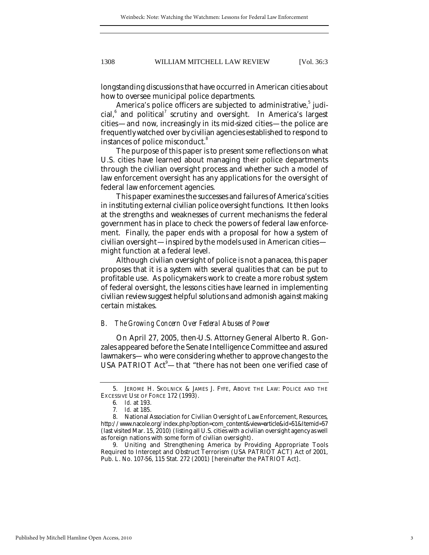longstanding discussions that have occurred in American cities about how to oversee municipal police departments.

America's police officers are subjected to administrative,<sup>5</sup> judicial,<sup>6</sup> and political<sup>7</sup> scrutiny and oversight. In America's largest cities—and now, increasingly in its mid-sized cities—the police are frequently watched over by civilian agencies established to respond to instances of police misconduct.<sup>8</sup>

The purpose of this paper is to present some reflections on what U.S. cities have learned about managing their police departments through the civilian oversight process and whether such a model of law enforcement oversight has any applications for the oversight of federal law enforcement agencies.

This paper examines the successes and failures of America's cities in instituting external civilian police oversight functions. It then looks at the strengths and weaknesses of current mechanisms the federal government has in place to check the powers of federal law enforcement. Finally, the paper ends with a proposal for how a system of civilian oversight—inspired by the models used in American cities might function at a federal level.

Although civilian oversight of police is not a panacea, this paper proposes that it is a system with several qualities that can be put to profitable use. As policymakers work to create a more robust system of federal oversight, the lessons cities have learned in implementing civilian review suggest helpful solutions and admonish against making certain mistakes.

#### *B. The Growing Concern Over Federal Abuses of Power*

On April 27, 2005, then-U.S. Attorney General Alberto R. Gonzales appeared before the Senate Intelligence Committee and assured lawmakers—who were considering whether to approve changes to the USA PATRIOT Act<sup>9</sup>—that "there has not been one verified case of

 <sup>5.</sup> JEROME H. SKOLNICK & JAMES J. FYFE, ABOVE THE LAW: POLICE AND THE EXCESSIVE USE OF FORCE 172 (1993).

<sup>6</sup>*. Id.* at 193.

<sup>7</sup>*. Id.* at 185.

 <sup>8.</sup> National Association for Civilian Oversight of Law Enforcement, Resources, http://www.nacole.org/index.php?option=com\_content&view=article&id=51&Itemid=57 (last visited Mar. 15, 2010) (listing all U.S. cities with a civilian oversight agency as well as foreign nations with some form of civilian oversight).

 <sup>9.</sup> Uniting and Strengthening America by Providing Appropriate Tools Required to Intercept and Obstruct Terrorism (USA PATRIOT ACT) Act of 2001, Pub. L. No. 107-56, 115 Stat. 272 (2001) [hereinafter the PATRIOT Act].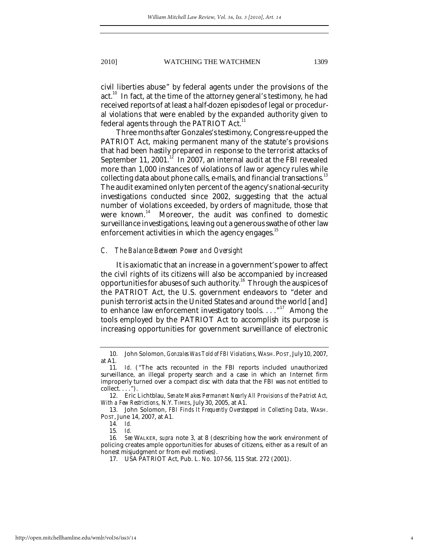civil liberties abuse" by federal agents under the provisions of the act.<sup>10</sup> In fact, at the time of the attorney general's testimony, he had received reports of at least a half-dozen episodes of legal or procedural violations that were enabled by the expanded authority given to federal agents through the PATRIOT Act.<sup>11</sup>

Three months after Gonzales's testimony, Congress re-upped the PATRIOT Act, making permanent many of the statute's provisions that had been hastily prepared in response to the terrorist attacks of September 11, 2001.<sup>12</sup> In 2007, an internal audit at the FBI revealed more than 1,000 instances of violations of law or agency rules while collecting data about phone calls, e-mails, and financial transactions.<sup>13</sup> The audit examined only ten percent of the agency's national-security investigations conducted since 2002, suggesting that the actual number of violations exceeded, by orders of magnitude, those that were known.<sup>14</sup> Moreover, the audit was confined to domestic Moreover, the audit was confined to domestic surveillance investigations, leaving out a generous swathe of other law enforcement activities in which the agency engages.<sup>15</sup>

#### *C. The Balance Between Power and Oversight*

It is axiomatic that an increase in a government's power to affect the civil rights of its citizens will also be accompanied by increased opportunities for abuses of such authority.<sup>16</sup> Through the auspices of the PATRIOT Act, the U.S. government endeavors to "deter and punish terrorist acts in the United States and around the world [and] to enhance law enforcement investigatory tools. . . . "<sup>17</sup> Among the tools employed by the PATRIOT Act to accomplish its purpose is increasing opportunities for government surveillance of electronic

 <sup>10.</sup> John Solomon, *Gonzales Was Told of FBI Violations*, WASH. POST, July 10, 2007, at A1.

<sup>11</sup>*. Id*. ("The acts recounted in the FBI reports included unauthorized surveillance, an illegal property search and a case in which an Internet firm improperly turned over a compact disc with data that the FBI was not entitled to collect. . . .").

 <sup>12.</sup> Eric Lichtblau, *Senate Makes Permanent Nearly All Provisions of the Patriot Act, With a Few Restrictions*, N.Y. TIMES, July 30, 2005, at A1.

 <sup>13.</sup> John Solomon, *FBI Finds It Frequently Overstepped in Collecting Data,* WASH. POST, June 14, 2007, at A1.

<sup>14</sup>*. Id.*

<sup>15</sup>*. Id.*

<sup>16</sup>*. See* WALKER, *supra* note 3, at 8 (describing how the work environment of policing creates ample opportunities for abuses of citizens, either as a result of an honest misjudgment or from evil motives).

 <sup>17.</sup> USA PATRIOT Act, Pub. L. No. 107-56, 115 Stat. 272 (2001).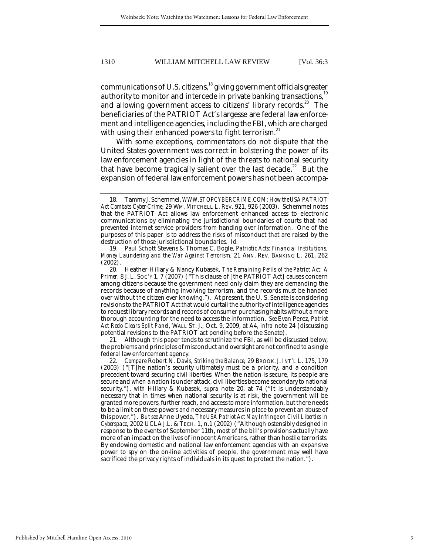communications of U.S. citizens,<sup>18</sup> giving government officials greater authority to monitor and intercede in private banking transactions,<sup>19</sup> and allowing government access to citizens' library records.<sup>20</sup> The beneficiaries of the PATRIOT Act's largesse are federal law enforcement and intelligence agencies, including the FBI, which are charged with using their enhanced powers to fight terrorism.<sup>21</sup>

With some exceptions, commentators do not dispute that the United States government was correct in bolstering the power of its law enforcement agencies in light of the threats to national security that have become tragically salient over the last decade.<sup>22</sup> But the expansion of federal law enforcement powers has not been accompa-

 20. Heather Hillary & Nancy Kubasek, *The Remaining Perils of the Patriot Act: A Primer*, 8 J. L. SOC'Y 1, 7 (2007) ("This clause of [the PATRIOT Act] causes concern among citizens because the government need only claim they are demanding the records because of anything involving terrorism, and the records must be handed over without the citizen ever knowing."). At present, the U. S. Senate is considering revisions to the PATRIOT Act that would curtail the authority of intelligence agencies to request library records and records of consumer purchasing habits without a more thorough accounting for the need to access the information. *See* Evan Perez, *Patriot Act Redo Clears Split Panel*, WALL ST. J., Oct. 9, 2009, at A4, *infra* note 24 (discussing potential revisions to the PATRIOT act pending before the Senate).

 21. Although this paper tends to scrutinize the FBI, as will be discussed below, the problems and principles of misconduct and oversight are not confined to a single federal law enforcement agency.

22*. Compare* Robert N. Davis, *Striking the Balance,* 29 BROOK. J. INT'L L. 175, 179 (2003) ("[T]he nation's security ultimately must be a priority, and a condition precedent toward securing civil liberties. When the nation is secure, its people are secure and when a nation is under attack, civil liberties become secondary to national security."), *with* Hillary & Kubasek, *supra* note 20, at 74 ("It is understandably necessary that in times when national security is at risk, the government will be granted more powers, further reach, and access to more information, but there needs to be a limit on these powers and necessary measures in place to prevent an abuse of this power."). *But see* Anne Uyeda, *The USA Patriot Act May Infringe on Civil Liberties in Cyberspace*, 2002 UCLA J.L. & TECH. 1, n.1 (2002) ("Although ostensibly designed in response to the events of September 11th, most of the bill's provisions actually have more of an impact on the lives of innocent Americans, rather than hostile terrorists. By endowing domestic and national law enforcement agencies with an expansive power to spy on the on-line activities of people, the government may well have sacrificed the privacy rights of individuals in its quest to protect the nation.").

 <sup>18.</sup> Tammy J. Schemmel, *WWW.STOPCYBERCRIME.COM: How the USA PATRIOT Act Combats Cyber-Crime*, 29 WM. MITCHELL L. REV. 921, 926 (2003). Schemmel notes that the PATRIOT Act allows law enforcement enhanced access to electronic communications by eliminating the jurisdictional boundaries of courts that had prevented internet service providers from handing over information. One of the purposes of this paper is to address the risks of misconduct that are raised by the destruction of those jurisdictional boundaries. *Id.*

 <sup>19.</sup> Paul Schott Stevens & Thomas C. Bogle, *Patriotic Acts: Financial Institutions, Money Laundering and the War Against Terrorism*, 21 ANN. REV. BANKING L. 261, 262 (2002).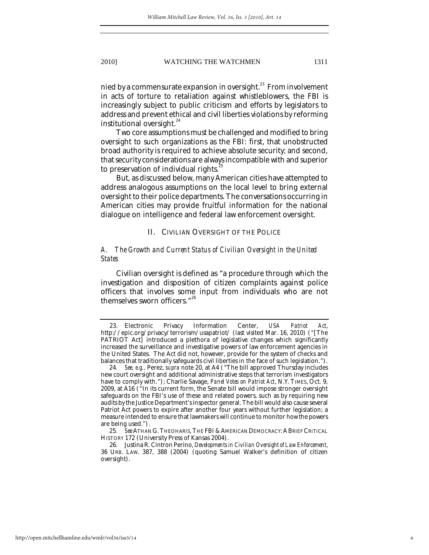nied by a commensurate expansion in oversight.<sup>23</sup> From involvement in acts of torture to retaliation against whistleblowers, the FBI is increasingly subject to public criticism and efforts by legislators to address and prevent ethical and civil liberties violations by reforming institutional oversight.<sup>24</sup>

Two core assumptions must be challenged and modified to bring oversight to such organizations as the FBI: first, that unobstructed broad authority is required to achieve absolute security; and second, that security considerations are always incompatible with and superior to preservation of individual rights.

But, as discussed below, many American cities have attempted to address analogous assumptions on the local level to bring external oversight to their police departments. The conversations occurring in American cities may provide fruitful information for the national dialogue on intelligence and federal law enforcement oversight.

#### II. CIVILIAN OVERSIGHT OF THE POLICE

### *A. The Growth and Current Status of Civilian Oversight in the United States*

Civilian oversight is defined as "a procedure through which the investigation and disposition of citizen complaints against police officers that involves some input from individuals who are not themselves sworn officers."<sup>26</sup>

 <sup>23.</sup> Electronic Privacy Information Center, *USA Patriot Act*, http://epic.org/privacy/terrorism/usapatriot/ (last visited Mar. 16, 2010) ("[The PATRIOT Act] introduced a plethora of legislative changes which significantly increased the surveillance and investigative powers of law enforcement agencies in the United States. The Act did not, however, provide for the system of checks and balances that traditionally safeguards civil liberties in the face of such legislation.").

<sup>24</sup>*. See, e.g.,* Perez, *supra* note 20, at A4 ("The bill approved Thursday includes new court oversight and additional administrative steps that terrorism investigators have to comply with."); Charlie Savage, *Panel Votes on Patriot Act*, N.Y. TIMES, Oct. 9, 2009, at A16 ("In its current form, the Senate bill would impose stronger oversight safeguards on the FBI's use of these and related powers, such as by requiring new audits by the Justice Department's inspector general. The bill would also cause several Patriot Act powers to expire after another four years without further legislation; a measure intended to ensure that lawmakers will continue to monitor how the powers are being used.").

<sup>25</sup>*. See* ATHAN G.THEOHARIS,THE FBI & AMERICAN DEMOCRACY:ABRIEF CRITICAL HISTORY 172 (University Press of Kansas 2004).

 <sup>26.</sup> Justina R. Cintron Perino, *Developments in Civilian Oversight of Law Enforcement*, 36 URB. LAW. 387, 388 (2004) (quoting Samuel Walker's definition of citizen oversight).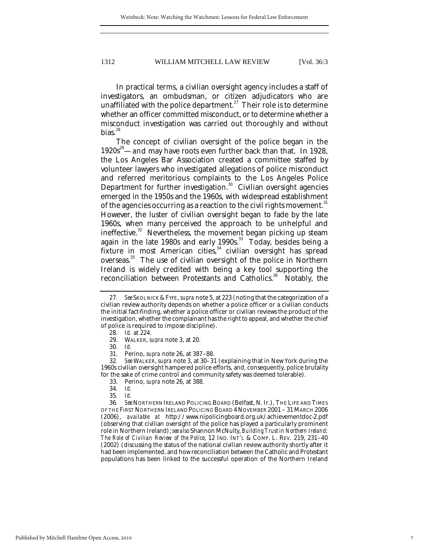In practical terms, a civilian oversight agency includes a staff of investigators, an ombudsman, or citizen adjudicators who are unaffiliated with the police department.<sup>27</sup> Their role is to determine whether an officer committed misconduct, or to determine whether a misconduct investigation was carried out thoroughly and without bias. $^{28}$ 

The concept of civilian oversight of the police began in the  $1920s^{29}$  and may have roots even further back than that. In 1928, the Los Angeles Bar Association created a committee staffed by volunteer lawyers who investigated allegations of police misconduct and referred meritorious complaints to the Los Angeles Police Department for further investigation.<sup>30</sup> Civilian oversight agencies emerged in the 1950s and the 1960s, with widespread establishment of the agencies occurring as a reaction to the civil rights movement. $^{\rm 31}$ However, the luster of civilian oversight began to fade by the late 1960s, when many perceived the approach to be unhelpful and ineffective.<sup>32</sup> Nevertheless, the movement began picking up steam again in the late 1980s and early 1990s.<sup>33</sup> Today, besides being a fixture in most American cities, $34$  civilian oversight has spread overseas.<sup>35</sup> The use of civilian oversight of the police in Northern Ireland is widely credited with being a key tool supporting the reconciliation between Protestants and Catholics.<sup>36</sup> Notably, the

<sup>27</sup>*. See* SKOLNICK & FYFE, *supra* note 5, at 223 (noting that the categorization of a civilian review authority depends on whether a police officer or a civilian conducts the initial fact-finding, whether a police officer or civilian reviews the product of the investigation, whether the complainant has the right to appeal, and whether the chief of police is required to impose discipline).

<sup>28</sup>*. Id.* at 224.

 <sup>29.</sup> WALKER, *supra* note 3, at 20.

<sup>30</sup>*. Id*.

 <sup>31.</sup> Perino, *supra* note 26, at 387–88.

<sup>32</sup>*. See* WALKER, *supra* note 3, at 30–31 (explaining that in New York during the 1960s civilian oversight hampered police efforts, and, consequently, police brutality for the sake of crime control and community safety was deemed tolerable).

 <sup>33.</sup> Perino, *supra* note 26, at 388.

<sup>34</sup>*. Id.*

<sup>35</sup>*. Id.*

<sup>36</sup>*. See* NORTHERN IRELAND POLICING BOARD (Belfast, N. Ir.), THE LIFE AND TIMES OF THE FIRST NORTHERN IRELAND POLICING BOARD 4 NOVEMBER 2001 – 31 MARCH 2006 (2006), *available at* http://www.nipolicingboard.org.uk/achievementdoc-2.pdf (observing that civilian oversight of the police has played a particularly prominent role in Northern Ireland); *see also* Shannon McNulty, *Building Trust in Northern Ireland: The Role of Civilian Review of the Police*, 12 IND. INT'L & COMP. L. REV. 219, 231–40 (2002) (discussing the status of the national civilian review authority shortly after it had been implemented, and how reconciliation between the Catholic and Protestant populations has been linked to the successful operation of the Northern Ireland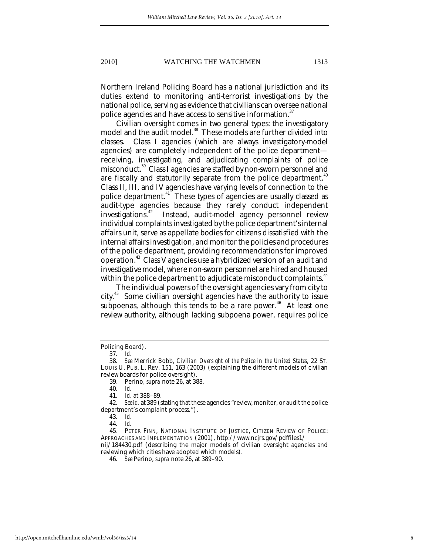Northern Ireland Policing Board has a national jurisdiction and its duties extend to monitoring anti-terrorist investigations by the national police, serving as evidence that civilians can oversee national police agencies and have access to sensitive information.<sup>37</sup>

Civilian oversight comes in two general types: the investigatory model and the audit model.<sup>38</sup> These models are further divided into classes. Class I agencies (which are always investigatory-model agencies) are completely independent of the police department receiving, investigating, and adjudicating complaints of police misconduct.<sup>39</sup> Class I agencies are staffed by non-sworn personnel and are fiscally and statutorily separate from the police department.<sup>40</sup> Class II, III, and IV agencies have varying levels of connection to the police department.<sup>41</sup> These types of agencies are usually classed as audit-type agencies because they rarely conduct independent investigations.<sup>42</sup> Instead, audit-model agency personnel review individual complaints investigated by the police department's internal affairs unit, serve as appellate bodies for citizens dissatisfied with the internal affairs investigation, and monitor the policies and procedures of the police department, providing recommendations for improved operation.43 Class V agencies use a hybridized version of an audit and investigative model, where non-sworn personnel are hired and housed within the police department to adjudicate misconduct complaints.<sup>44</sup>

The individual powers of the oversight agencies vary from city to city.45 Some civilian oversight agencies have the authority to issue subpoenas, although this tends to be a rare power.<sup>46</sup> At least one review authority, although lacking subpoena power, requires police

39. Perino, *supra* note 26, at 388.

reviewing which cities have adopted which models).

Policing Board).

<sup>37</sup>*. Id*.

<sup>38</sup>*. See* Merrick Bobb, *Civilian Oversight of the Police in the United States*, 22 ST. LOUIS U. PUB. L. REV. 151, 163 (2003) (explaining the different models of civilian review boards for police oversight).

<sup>40</sup>*. Id.*

<sup>41</sup>*. Id*. at 388–89.

<sup>42</sup>*. See id*. at 389 (stating that these agencies "review, monitor, or audit the police department's complaint process.").

<sup>43</sup>*. Id*.

<sup>44</sup>*. Id.*

 <sup>45.</sup> PETER FINN, NATIONAL INSTITUTE OF JUSTICE, CITIZEN REVIEW OF POLICE: APPROACHES AND IMPLEMENTATION (2001), http://www.ncjrs.gov/pdffiles1/ nij/184430.pdf (describing the major models of civilian oversight agencies and

<sup>46</sup>*. See* Perino, *supra* note 26, at 389–90.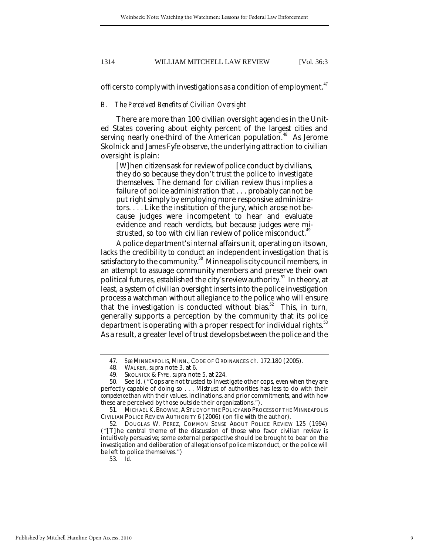officers to comply with investigations as a condition of employment.<sup>47</sup>

#### *B. The Perceived Benefits of Civilian Oversight*

There are more than 100 civilian oversight agencies in the United States covering about eighty percent of the largest cities and serving nearly one-third of the American population.<sup>48</sup> As Jerome Skolnick and James Fyfe observe, the underlying attraction to civilian oversight is plain:

[W]hen citizens ask for review of police conduct by civilians, they do so because they don't trust the police to investigate themselves. The demand for civilian review thus implies a failure of police administration that . . . probably cannot be put right simply by employing more responsive administrators. . . . Like the institution of the jury, which arose not because judges were incompetent to hear and evaluate evidence and reach verdicts, but because judges were mistrusted, so too with civilian review of police misconduct.<sup>49</sup>

A police department's internal affairs unit, operating on its own, lacks the credibility to conduct an independent investigation that is satisfactory to the community.<sup>50</sup> Minneapolis city council members, in an attempt to assuage community members and preserve their own political futures, established the city's review authority.<sup>51</sup> In theory, at least, a system of civilian oversight inserts into the police investigation process a watchman without allegiance to the police who will ensure that the investigation is conducted without bias.<sup>52</sup> This, in turn, generally supports a perception by the community that its police department is operating with a proper respect for individual rights.<sup>53</sup> As a result, a greater level of trust develops between the police and the

<sup>47</sup>*. See* MINNEAPOLIS, MINN., CODE OF ORDINANCES ch. 172.180 (2005).

 <sup>48.</sup> WALKER, *supra* note 3, at 6.

 <sup>49.</sup> SKOLNICK & FYFE, *supra* note 5, at 224.

 <sup>50.</sup> See *id.* ("Cops are not trusted to investigate other cops, even when they are perfectly capable of doing so . . . Mistrust of authorities has less to do with their *competence* than with their values, inclinations, and prior commitments, and with how these are perceived by those outside their organizations.").

 <sup>51.</sup> MICHAEL K.BROWNE, ASTUDY OF THE POLICY AND PROCESS OF THE MINNEAPOLIS CIVILIAN POLICE REVIEW AUTHORITY 6 (2006) (on file with the author).

 <sup>52.</sup> DOUGLAS W. PEREZ, COMMON SENSE ABOUT POLICE REVIEW 125 (1994) ("[T]he central theme of the discussion of those who favor civilian review is intuitively persuasive; some external perspective should be brought to bear on the investigation and deliberation of allegations of police misconduct, or the police will be left to police themselves.")

<sup>53</sup>*. Id.*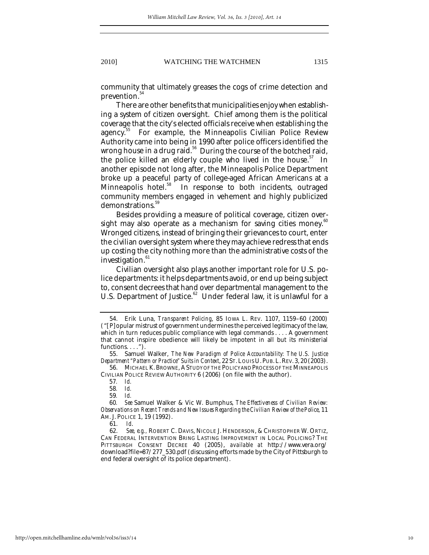community that ultimately greases the cogs of crime detection and prevention.<sup>54</sup>

There are other benefits that municipalities enjoy when establishing a system of citizen oversight. Chief among them is the political coverage that the city's elected officials receive when establishing the agency.<sup>35</sup> For example, the Minneapolis Civilian Police Review Authority came into being in 1990 after police officers identified the wrong house in a drug raid.<sup>56</sup> During the course of the botched raid, the police killed an elderly couple who lived in the house.<sup>57</sup> In another episode not long after, the Minneapolis Police Department broke up a peaceful party of college-aged African Americans at a Minneapolis hotel.<sup>58</sup> In response to both incidents, outraged community members engaged in vehement and highly publicized demonstrations.<sup>59</sup>

Besides providing a measure of political coverage, citizen oversight may also operate as a mechanism for saving cities money.<sup>60</sup> Wronged citizens, instead of bringing their grievances to court, enter the civilian oversight system where they may achieve redress that ends up costing the city nothing more than the administrative costs of the investigation.<sup>61</sup>

Civilian oversight also plays another important role for U.S. police departments: it helps departments avoid, or end up being subject to, consent decrees that hand over departmental management to the U.S. Department of Justice.<sup>62</sup> Under federal law, it is unlawful for a

 56. MICHAEL K.BROWNE, ASTUDY OF THE POLICY AND PROCESS OF THE MINNEAPOLIS CIVILIAN POLICE REVIEW AUTHORITY 6 (2006) (on file with the author).

58*. Id.*

59*. Id.*

61. *Id*.

 <sup>54.</sup> Erik Luna, *Transparent Policing*, 85 IOWA L. REV. 1107, 1159–60 (2000) ("[P]opular mistrust of government undermines the perceived legitimacy of the law, which in turn reduces public compliance with legal commands . . . . A government that cannot inspire obedience will likely be impotent in all but its ministerial functions. . . . ").

 <sup>55.</sup> Samuel Walker, *The New Paradigm of Police Accountability: The U.S. Justice Department "Pattern or Practice" Suits in Context*, 22 ST.LOUIS U.PUB.L.REV. 3, 20 (2003).

<sup>57</sup>*. Id.*

<sup>60</sup>*. See* Samuel Walker & Vic W. Bumphus, *The Effectiveness of Civilian Review: Observations on Recent Trends and New Issues Regarding the Civilian Review of the Police*, 11 AM. J. POLICE 1, 19 (1992).

 <sup>62.</sup> *See, e.g.,* ROBERT C. DAVIS, NICOLE J. HENDERSON, & CHRISTOPHER W. ORTIZ, CAN FEDERAL INTERVENTION BRING LASTING IMPROVEMENT IN LOCAL POLICING? THE PITTSBURGH CONSENT DECREE 40 (2005), *available at* http://www.vera.org/ download?file=87/277\_530.pdf (discussing efforts made by the City of Pittsburgh to end federal oversight of its police department).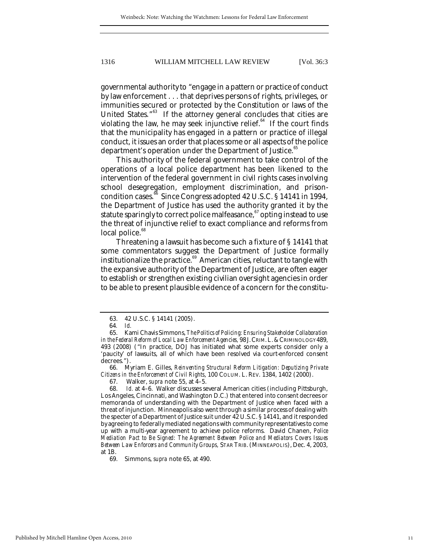governmental authority to "engage in a pattern or practice of conduct by law enforcement . . . that deprives persons of rights, privileges, or immunities secured or protected by the Constitution or laws of the United States."<sup>63</sup> If the attorney general concludes that cities are violating the law, he may seek injunctive relief. $64$  If the court finds that the municipality has engaged in a pattern or practice of illegal conduct, it issues an order that places some or all aspects of the police department's operation under the Department of Justice.<sup>65</sup>

This authority of the federal government to take control of the operations of a local police department has been likened to the intervention of the federal government in civil rights cases involving school desegregation, employment discrimination, and prisoncondition cases.<sup>66</sup> Since Congress adopted 42 U.S.C. § 14141 in 1994, the Department of Justice has used the authority granted it by the statute sparingly to correct police malfeasance, $67$  opting instead to use the threat of injunctive relief to exact compliance and reforms from local police.<sup>68</sup>

Threatening a lawsuit has become such a fixture of § 14141 that some commentators suggest the Department of Justice formally institutionalize the practice.<sup>69</sup> American cities, reluctant to tangle with the expansive authority of the Department of Justice, are often eager to establish or strengthen existing civilian oversight agencies in order to be able to present plausible evidence of a concern for the constitu-

 66. Myriam E. Gilles, *Reinventing Structural Reform Litigation: Deputizing Private Citizens in the Enforcement of Civil Rights*, 100 COLUM. L. REV. 1384, 1402 (2000).

69. Simmons, *supra* note 65, at 490.

 <sup>63. 42</sup> U.S.C. § 14141 (2005).

<sup>64</sup>*. Id.*

 <sup>65.</sup> Kami Chavis Simmons, *The Politics of Policing: Ensuring Stakeholder Collaboration in the Federal Reform of Local Law Enforcement Agencies,* 98 J.CRIM.L.&CRIMINOLOGY 489, 493 (2008) ("In practice, DOJ has initiated what some experts consider only a 'paucity' of lawsuits, all of which have been resolved via court-enforced consent decrees.").

 <sup>67.</sup> Walker, *supra* note 55, at 4–5.

 <sup>68.</sup> *Id.* at 4–6. Walker discusses several American cities (including Pittsburgh, Los Angeles, Cincinnati, and Washington D.C.) that entered into consent decrees or memoranda of understanding with the Department of Justice when faced with a threat of injunction. Minneapolis also went through a similar process of dealing with the specter of a Department of Justice suit under 42 U.S.C. § 14141, and it responded by agreeing to federally mediated negations with community representatives to come up with a multi-year agreement to achieve police reforms. David Chanen, *Police Mediation Pact to Be Signed: The Agreement Between Police and Mediators Covers Issues Between Law Enforcers and Community Groups,* STAR TRIB. (MINNEAPOLIS), Dec. 4, 2003, at 1B.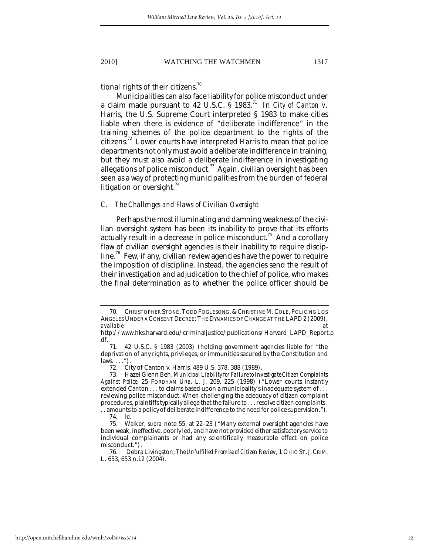tional rights of their citizens.<sup>70</sup>

Municipalities can also face liability for police misconduct under a claim made pursuant to 42 U.S.C. § 1983.71 In *City of Canton v. Harris,* the U.S. Supreme Court interpreted § 1983 to make cities liable when there is evidence of "deliberate indifference" in the training schemes of the police department to the rights of the citizens.72 Lower courts have interpreted *Harris* to mean that police departments not only must avoid a deliberate indifference in training, but they must also avoid a deliberate indifference in investigating allegations of police misconduct.<sup>73</sup> Again, civilian oversight has been seen as a way of protecting municipalities from the burden of federal litigation or oversight. $74$ 

#### *C. The Challenges and Flaws of Civilian Oversight*

Perhaps the most illuminating and damning weakness of the civilian oversight system has been its inability to prove that its efforts actually result in a decrease in police misconduct.<sup>75</sup> And a corollary flaw of civilian oversight agencies is their inability to require discipline.<sup>76</sup> Few, if any, civilian review agencies have the power to require the imposition of discipline. Instead, the agencies send the result of their investigation and adjudication to the chief of police, who makes the final determination as to whether the police officer should be

<sup>70.</sup> CHRISTOPHER STONE, TODD FOGLESONG, & CHRISTINE M. COLE, POLICING LOS ANGELES UNDER A CONSENT DECREE: THE DYNAMICS OF CHANGE AT THE LAPD 2 (2009),<br>available *available at* 

http://www.hks.harvard.edu/criminaljustice/publications/Harvard\_LAPD\_Report.p df.  $71.$ 

 <sup>71. 42</sup> U.S.C. § 1983 (2003) (holding government agencies liable for "the deprivation of any rights, privileges, or immunities secured by the Constitution and laws. . . .").

 <sup>72.</sup> City of Canton v. Harris*,* 489 U.S. 378, 388 (1989).

 <sup>73.</sup> Hazel Glenn Beh, *Municipal Liability for Failure to Investigate Citizen Complaints Against Police*, 25 FORDHAM URB. L. J. 209, 225 (1998) ("Lower courts instantly extended Canton . . . to claims based upon a municipality's inadequate system of . . . reviewing police misconduct. When challenging the adequacy of citizen complaint procedures, plaintiffs typically allege that the failure to . . . resolve citizen complaints . . . amounts to a policy of deliberate indifference to the need for police supervision.").

<sup>74</sup>*. Id.*

 <sup>75.</sup> Walker, *supra* note 55, at 22–23 ("Many external oversight agencies have been weak, ineffective, poorly led, and have not provided either satisfactory service to individual complainants or had any scientifically measurable effect on police misconduct.").

 <sup>76.</sup> Debra Livingston, *The Unfulfilled Promise of Citizen Review*, 1 OHIO ST.J.CRIM. L. 653, 653 n.12 (2004).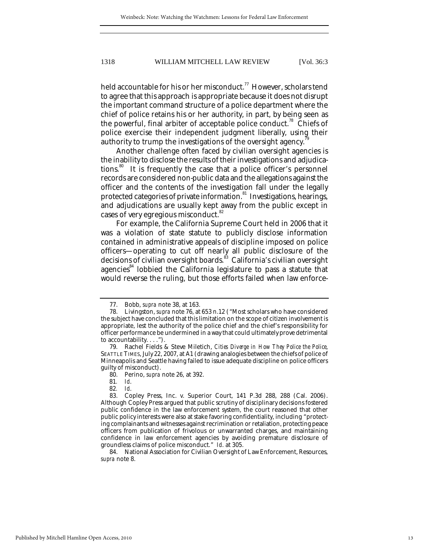held accountable for his or her misconduct.<sup>77</sup> However, scholars tend to agree that this approach is appropriate because it does not disrupt the important command structure of a police department where the chief of police retains his or her authority, in part, by being seen as the powerful, final arbiter of acceptable police conduct.<sup>78</sup> Chiefs of police exercise their independent judgment liberally, using their authority to trump the investigations of the oversight agency.

Another challenge often faced by civilian oversight agencies is the inability to disclose the results of their investigations and adjudications.<sup>80</sup> It is frequently the case that a police officer's personnel records are considered non-public data and the allegations against the officer and the contents of the investigation fall under the legally protected categories of private information.<sup>81</sup> Investigations, hearings, and adjudications are usually kept away from the public except in cases of very egregious misconduct.<sup>82</sup>

For example, the California Supreme Court held in 2006 that it was a violation of state statute to publicly disclose information contained in administrative appeals of discipline imposed on police officers—operating to cut off nearly all public disclosure of the decisions of civilian oversight boards.<sup>83</sup> California's civilian oversight agencies<sup>84</sup> lobbied the California legislature to pass a statute that would reverse the ruling, but those efforts failed when law enforce-

 84. National Association for Civilian Oversight of Law Enforcement, Resources, *supra* note 8.

 <sup>77.</sup> Bobb, *supra* note 38, at 163.

 <sup>78.</sup> Livingston, *supra* note 76, at 653 n.12 ("Most scholars who have considered the subject have concluded that this limitation on the scope of citizen involvement is appropriate, lest the authority of the police chief and the chief's responsibility for officer performance be undermined in a way that could ultimately prove detrimental to accountability. . . .").

 <sup>79.</sup> Rachel Fields & Steve Miletich, *Cities Diverge in How They Police the Police*, SEATTLE TIMES, July 22, 2007, at A1 (drawing analogies between the chiefs of police of Minneapolis and Seattle having failed to issue adequate discipline on police officers guilty of misconduct).

 <sup>80.</sup> Perino, *supra* note 26, at 392.

<sup>81</sup>*. Id*.

<sup>82</sup>*. Id*.

 <sup>83.</sup> Copley Press, Inc. v. Superior Court, 141 P.3d 288, 288 (Cal. 2006). Although Copley Press argued that public scrutiny of disciplinary decisions fostered public confidence in the law enforcement system, the court reasoned that other public policy interests were also at stake favoring confidentiality, including "protecting complainants and witnesses against recrimination or retaliation, protecting peace officers from publication of frivolous or unwarranted charges, and maintaining confidence in law enforcement agencies by avoiding premature disclosure of groundless claims of police misconduct." *Id*. at 305.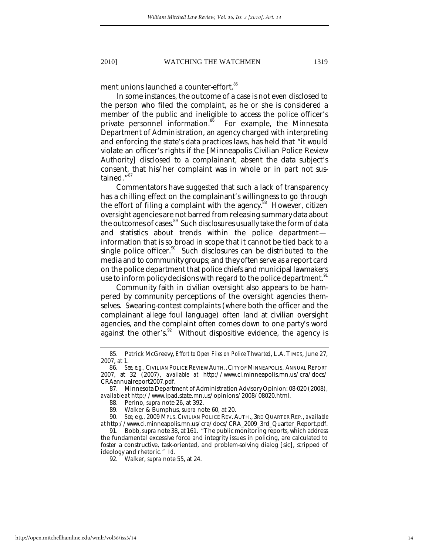ment unions launched a counter-effort.<sup>85</sup>

In some instances, the outcome of a case is not even disclosed to the person who filed the complaint, as he or she is considered a member of the public and ineligible to access the police officer's private personnel information.<sup>86</sup> For example, the Minnesota Department of Administration, an agency charged with interpreting and enforcing the state's data practices laws, has held that "it would violate an officer's rights if the [Minneapolis Civilian Police Review Authority] disclosed to a complainant, absent the data subject's consent, that his/her complaint was in whole or in part not sustained."<sup>87</sup>

Commentators have suggested that such a lack of transparency has a chilling effect on the complainant's willingness to go through the effort of filing a complaint with the agency.<sup>88</sup> However, citizen oversight agencies are not barred from releasing summary data about the outcomes of cases.<sup>89</sup> Such disclosures usually take the form of data and statistics about trends within the police department information that is so broad in scope that it cannot be tied back to a single police officer.<sup>90</sup> Such disclosures can be distributed to the media and to community groups; and they often serve as a report card on the police department that police chiefs and municipal lawmakers use to inform policy decisions with regard to the police department.<sup>91</sup>

Community faith in civilian oversight also appears to be hampered by community perceptions of the oversight agencies themselves. Swearing-contest complaints (where both the officer and the complainant allege foul language) often land at civilian oversight agencies, and the complaint often comes down to one party's word against the other's. $92$  Without dispositive evidence, the agency is

 <sup>85.</sup> Patrick McGreevy, *Effort to Open Files on Police Thwarted*, L.A. TIMES, June 27, 2007, at 1.

<sup>86</sup>*. See, e.g.*, CIVILIAN POLICE REVIEW AUTH.,CITY OF MINNEAPOLIS, ANNUAL REPORT 2007, at 32 (2007), *available at* http://www.ci.minneapolis.mn.us/cra/docs/ CRAannualreport2007.pdf.

 <sup>87.</sup> Minnesota Department of Administration Advisory Opinion: 08-020 (2008), *available at* http://www.ipad.state.mn.us/opinions/2008/08020.html.

 <sup>88.</sup> Perino, *supra* note 26, at 392.

 <sup>89.</sup> Walker & Bumphus, *supra* note 60, at 20.

 <sup>90.</sup> *See, e.g.,* 2009 MPLS.CIVILIAN POLICE REV.AUTH., 3RD QUARTER REP., *available at* http://www.ci.minneapolis.mn.us/cra/docs/CRA\_2009\_3rd\_Quarter\_Report.pdf.

 <sup>91.</sup> Bobb, *supra* note 38, at 161. "The public monitoring reports, which address the fundamental excessive force and integrity issues in policing, are calculated to foster a constructive, task-oriented, and problem-solving dialog [sic], stripped of ideology and rhetoric." *Id.*

 <sup>92.</sup> Walker, *supra* note 55, at 24.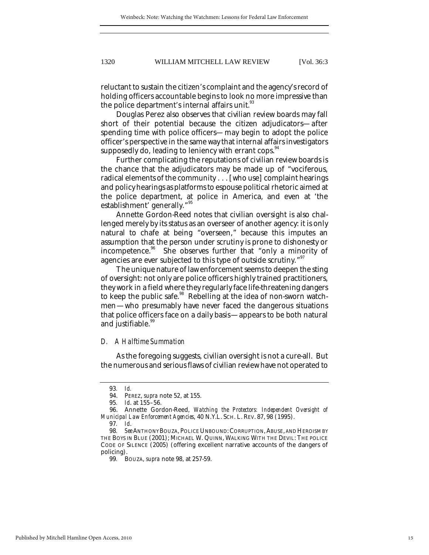reluctant to sustain the citizen's complaint and the agency's record of holding officers accountable begins to look no more impressive than the police department's internal affairs unit.  $\scriptstyle^{93}$ 

Douglas Perez also observes that civilian review boards may fall short of their potential because the citizen adjudicators—after spending time with police officers—may begin to adopt the police officer's perspective in the same way that internal affairs investigators supposedly do, leading to leniency with errant cops.<sup>94</sup>

Further complicating the reputations of civilian review boards is the chance that the adjudicators may be made up of "vociferous, radical elements of the community . . . [who use] complaint hearings and policy hearings as platforms to espouse political rhetoric aimed at the police department, at police in America, and even at 'the establishment' generally."<sup>95</sup>

Annette Gordon-Reed notes that civilian oversight is also challenged merely by its status as an overseer of another agency: it is only natural to chafe at being "overseen," because this imputes an assumption that the person under scrutiny is prone to dishonesty or incompetence.<sup>36</sup> She observes further that "only a minority of agencies are ever subjected to this type of outside scrutiny."<sup>97</sup>

The unique nature of law enforcement seems to deepen the sting of oversight: not only are police officers highly trained practitioners, they work in a field where they regularly face life-threatening dangers to keep the public safe.<sup>98</sup> Rebelling at the idea of non-sworn watchmen—who presumably have never faced the dangerous situations that police officers face on a daily basis—appears to be both natural and justifiable.<sup>99</sup>

#### *D. A Halftime Summation*

As the foregoing suggests, civilian oversight is not a cure-all. But the numerous and serious flaws of civilian review have not operated to

<sup>93</sup>*. Id.*

 <sup>94.</sup> PEREZ, *supra* note 52, at 155.

<sup>95</sup>*. Id*. at 155–56.

 <sup>96.</sup> Annette Gordon-Reed, *Watching the Protectors: Independent Oversight of Municipal Law Enforcement Agencies*, 40 N.Y.L. SCH. L. REV. 87, 98 (1995).

<sup>97</sup>*. Id*.

<sup>98</sup>*. See* ANTHONY BOUZA, POLICE UNBOUND:CORRUPTION,ABUSE, AND HEROISM BY THE BOYS IN BLUE (2001); MICHAEL W. QUINN, WALKING WITH THE DEVIL: THE POLICE CODE OF SILENCE (2005) (offering excellent narrative accounts of the dangers of policing).

<sup>99</sup>*.* BOUZA, *supra* note 98, at 257-59.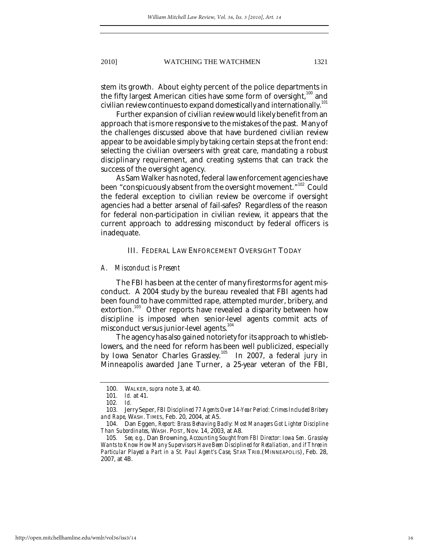stem its growth. About eighty percent of the police departments in the fifty largest American cities have some form of oversight, $100$  and civilian review continues to expand domestically and internationally.<sup>101</sup>

Further expansion of civilian review would likely benefit from an approach that is more responsive to the mistakes of the past. Many of the challenges discussed above that have burdened civilian review appear to be avoidable simply by taking certain steps at the front end: selecting the civilian overseers with great care, mandating a robust disciplinary requirement, and creating systems that can track the success of the oversight agency.

As Sam Walker has noted, federal law enforcement agencies have been "conspicuously absent from the oversight movement."<sup>102</sup> Could the federal exception to civilian review be overcome if oversight agencies had a better arsenal of fail-safes? Regardless of the reason for federal non-participation in civilian review, it appears that the current approach to addressing misconduct by federal officers is inadequate.

#### III. FEDERAL LAW ENFORCEMENT OVERSIGHT TODAY

#### *A. Misconduct is Present*

The FBI has been at the center of many firestorms for agent misconduct. A 2004 study by the bureau revealed that FBI agents had been found to have committed rape, attempted murder, bribery, and extortion.<sup>103</sup> Other reports have revealed a disparity between how discipline is imposed when senior-level agents commit acts of misconduct versus junior-level agents.<sup>104</sup>

The agency has also gained notoriety for its approach to whistleblowers, and the need for reform has been well publicized, especially by Iowa Senator Charles Grassley.<sup>105</sup> In 2007, a federal jury in Minneapolis awarded Jane Turner, a 25-year veteran of the FBI,

 <sup>100.</sup> WALKER, *supra* note 3, at 40.

<sup>101</sup>*. Id.* at 41.

<sup>102</sup>*. Id.*

 <sup>103.</sup> Jerry Seper, *FBI Disciplined 77 Agents Over 14-Year Period: Crimes Included Bribery and Rape*, WASH. TIMES, Feb. 20, 2004, at A5.

 <sup>104.</sup> Dan Eggen, *Report: Brass Behaving Badly: Most Managers Got Lighter Discipline Than Subordinates*, WASH. POST, Nov. 14, 2003, at A8.

<sup>105</sup>*. See, e.g.,* Dan Browning, *Accounting Sought from FBI Director: Iowa Sen. Grassley Wants to Know How Many Supervisors Have Been Disciplined for Retaliation, and if Three in Particular Played a Part in a St. Paul Agent's Case,* STAR TRIB.(MINNEAPOLIS), Feb. 28, 2007, at 4B.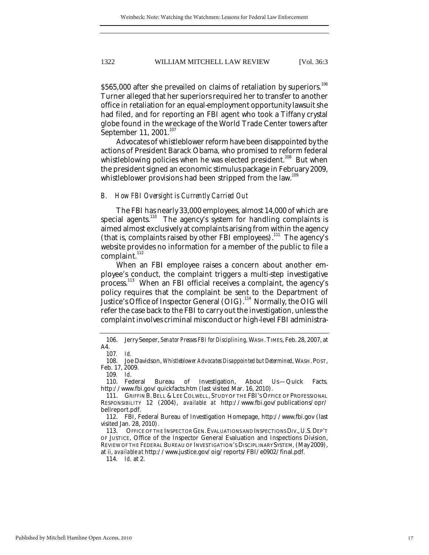\$565,000 after she prevailed on claims of retaliation by superiors.<sup>106</sup> Turner alleged that her superiors required her to transfer to another office in retaliation for an equal-employment opportunity lawsuit she had filed, and for reporting an FBI agent who took a Tiffany crystal globe found in the wreckage of the World Trade Center towers after September 11, 2001. $^{107}$ 

Advocates of whistleblower reform have been disappointed by the actions of President Barack Obama, who promised to reform federal whistleblowing policies when he was elected president.<sup>108</sup> But when the president signed an economic stimulus package in February 2009, whistleblower provisions had been stripped from the law.<sup>109</sup>

#### *B. How FBI Oversight is Currently Carried Out*

The FBI has nearly 33,000 employees, almost 14,000 of which are special agents.<sup>110</sup> The agency's system for handling complaints is aimed almost exclusively at complaints arising from within the agency (that is, complaints raised by other FBI employees).<sup>111</sup> The agency's website provides no information for a member of the public to file a complaint.<sup>112</sup>

When an FBI employee raises a concern about another employee's conduct, the complaint triggers a multi-step investigative process.113 When an FBI official receives a complaint, the agency's policy requires that the complaint be sent to the Department of Justice's Office of Inspector General (OIG).<sup>114</sup> Normally, the OIG will refer the case back to the FBI to carry out the investigation, unless the complaint involves criminal misconduct or high-level FBI administra-

114*. Id.* at 2.

 <sup>106.</sup> Jerry Seeper, *Senator Presses FBI for Disciplining,* WASH.TIMES, Feb. 28, 2007, at A4.

<sup>107</sup>*. Id.*

 <sup>108.</sup> Joe Davidson, *Whistleblower Advocates Disappointed but Determined*, WASH.POST, Feb. 17, 2009.

<sup>109</sup>*. Id*.

 <sup>110.</sup> Federal Bureau of Investigation, About Us—Quick Facts*,* http://www.fbi.gov/quickfacts.htm (last visited Mar. 16, 2010).

<sup>111.</sup> GRIFFIN B. BELL & LEE COLWELL, STUDY OF THE FBI'S OFFICE OF PROFESSIONAL RESPONSIBILITY 12 (2004), *available at* http://www.fbi.gov/publications/opr/ bellreport.pdf.

 <sup>112.</sup> FBI, Federal Bureau of Investigation Homepage, http://www.fbi.gov (last visited Jan. 28, 2010).

<sup>113.</sup> OFFICE OF THE INSPECTOR GEN. EVALUATIONS AND INSPECTIONS DIV., U.S. DEP'T OF JUSTICE, Office of the Inspector General Evaluation and Inspections Division, REVIEW OF THE FEDERAL BUREAU OF INVESTIGATION'S DISCIPLINARY SYSTEM*,* (May 2009), at ii, *available at* http://www.justice.gov/oig/reports/FBI/e0902/final.pdf.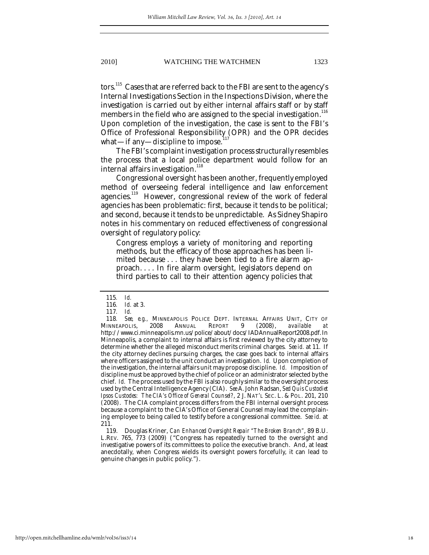tors.<sup>115</sup> Cases that are referred back to the FBI are sent to the agency's Internal Investigations Section in the Inspections Division, where the investigation is carried out by either internal affairs staff or by staff members in the field who are assigned to the special investigation.<sup>116</sup> Upon completion of the investigation, the case is sent to the FBI's Office of Professional Responsibility (OPR) and the OPR decides what—if any—discipline to impose.<sup>1</sup>

The FBI's complaint investigation process structurally resembles the process that a local police department would follow for an internal affairs investigation.<sup>118</sup>

Congressional oversight has been another, frequently employed method of overseeing federal intelligence and law enforcement agencies.<sup>119</sup> However, congressional review of the work of federal agencies has been problematic: first, because it tends to be political; and second, because it tends to be unpredictable. As Sidney Shapiro notes in his commentary on reduced effectiveness of congressional oversight of regulatory policy:

Congress employs a variety of monitoring and reporting methods, but the efficacy of those approaches has been limited because . . . they have been tied to a fire alarm approach. . . . In fire alarm oversight, legislators depend on third parties to call to their attention agency policies that

 119. Douglas Kriner, *Can Enhanced Oversight Repair "The Broken Branch"*, 89 B.U. L.REV. 765, 773 (2009) ("Congress has repeatedly turned to the oversight and investigative powers of its committees to police the executive branch. And, at least anecdotally, when Congress wields its oversight powers forcefully, it can lead to genuine changes in public policy.").

<sup>115</sup>*. Id.*

<sup>116</sup>*. Id.* at 3.

<sup>117</sup>*. Id.*

<sup>118</sup>*. See, e.g.,* MINNEAPOLIS POLICE DEPT. INTERNAL AFFAIRS UNIT, CITY OF INNEAPOLIS, 2008 ANNUAL REPORT 9 (2008), *available at* MINNEAPOLIS, 2008 ANNUAL REPORT 9 (2008), *available at*  http://www.ci.minneapolis.mn.us/police/about/docs/IADAnnualReport2008.pdf.In Minneapolis, a complaint to internal affairs is first reviewed by the city attorney to determine whether the alleged misconduct merits criminal charges. *See id.* at 11. If the city attorney declines pursuing charges, the case goes back to internal affairs where officers assigned to the unit conduct an investigation. *Id.* Upon completion of the investigation, the internal affairs unit may propose discipline. *Id.* Imposition of discipline must be approved by the chief of police or an administrator selected by the chief. *Id.* The process used by the FBI is also roughly similar to the oversight process used by the Central Intelligence Agency (CIA). *See* A. John Radsan, *Sed Quis Custodiet Ipsos Custodes: The CIA's Office of General Counsel?*, 2 J. NAT'L SEC. L. & POL. 201, 210 (2008). The CIA complaint process differs from the FBI internal oversight process because a complaint to the CIA's Office of General Counsel may lead the complaining employee to being called to testify before a congressional committee. *See id.* at 211.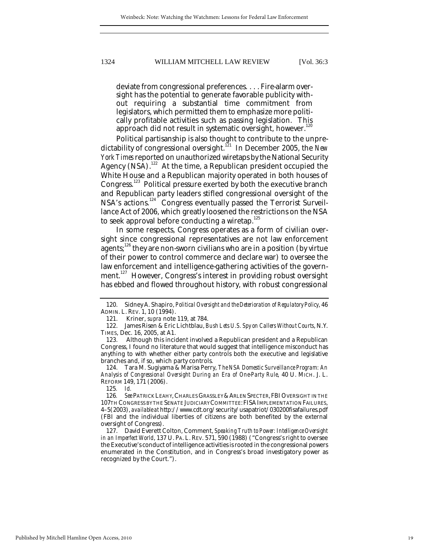deviate from congressional preferences. . . . Fire-alarm oversight has the potential to generate favorable publicity without requiring a substantial time commitment from legislators, which permitted them to emphasize more politically profitable activities such as passing legislation. This approach did not result in systematic oversight, however.<sup>120</sup>

Political partisanship is also thought to contribute to the unpredictability of congressional oversight.<sup>121</sup> In December 2005, the *New York Times* reported on unauthorized wiretaps by the National Security Agency (NSA).<sup>122</sup> At the time, a Republican president occupied the White House and a Republican majority operated in both houses of Congress.<sup>123</sup> Political pressure exerted by both the executive branch and Republican party leaders stifled congressional oversight of the NSA's actions.<sup>124</sup> Congress eventually passed the Terrorist Surveillance Act of 2006, which greatly loosened the restrictions on the NSA to seek approval before conducting a wiretap. $^{125}$ 

In some respects, Congress operates as a form of civilian oversight since congressional representatives are not law enforcement agents; $126$  they are non-sworn civilians who are in a position (by virtue of their power to control commerce and declare war) to oversee the law enforcement and intelligence-gathering activities of the government.<sup>127</sup> However, Congress's interest in providing robust oversight has ebbed and flowed throughout history, with robust congressional

 <sup>120.</sup> Sidney A. Shapiro, *Political Oversight and the Deterioration of Regulatory Policy*, 46 ADMIN. L. REV. 1, 10 (1994).

 <sup>121.</sup> Kriner, *supra* note 119, at 784.

 <sup>122.</sup> James Risen & Eric Lichtblau, *Bush Lets U.S. Spy on Callers Without Courts*, N.Y. TIMES, Dec. 16, 2005, at A1.

 <sup>123.</sup> Although this incident involved a Republican president and a Republican Congress, I found no literature that would suggest that intelligence misconduct has anything to with whether either party controls both the executive and legislative branches and, if so, which party controls.

 <sup>124.</sup> Tara M. Sugiyama & Marisa Perry, *The NSA Domestic Surveillance Program: An Analysis of Congressional Oversight During an Era of One-Party Rule*, 40 U. MICH. J. L. REFORM 149, 171 (2006).

<sup>125</sup>*. Id.*

<sup>126</sup>*. See* PATRICK LEAHY,CHARLES GRASSLEY &ARLEN SPECTER,FBIOVERSIGHT IN THE 107TH CONGRESS BY THE SENATE JUDICIARY COMMITTEE:FISAIMPLEMENTATION FAILURES, 4–5(2003), *available at* http://www.cdt.org/security/usapatriot/030200fisafailures.pdf (FBI and the individual liberties of citizens are both benefited by the external oversight of Congress).

 <sup>127.</sup> David Everett Colton, Comment, *Speaking Truth to Power: Intelligence Oversight in an Imperfect World*, 137 U. PA. L. REV. 571, 590 (1988) ("Congress's right to oversee the Executive's conduct of intelligence activities is rooted in the congressional powers enumerated in the Constitution, and in Congress's broad investigatory power as recognized by the Court.").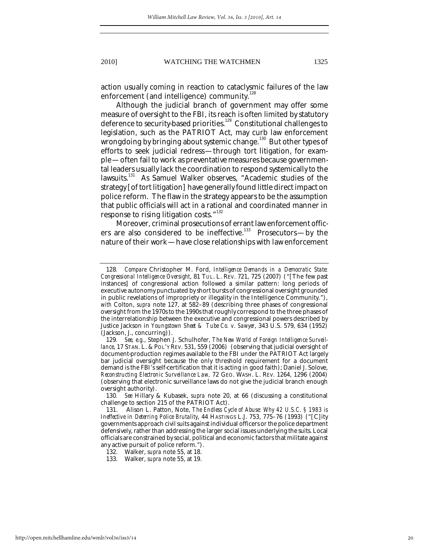action usually coming in reaction to cataclysmic failures of the law enforcement (and intelligence) community.<sup>128</sup>

Although the judicial branch of government may offer some measure of oversight to the FBI, its reach is often limited by statutory deference to security-based priorities.<sup>129</sup> Constitutional challenges to legislation, such as the PATRIOT Act, may curb law enforcement wrongdoing by bringing about systemic change.<sup>130</sup> But other types of efforts to seek judicial redress—through tort litigation, for example—often fail to work as preventative measures because governmental leaders usually lack the coordination to respond systemically to the lawsuits.<sup>131</sup> As Samuel Walker observes, "Academic studies of the strategy [of tort litigation] have generally found little direct impact on police reform. The flaw in the strategy appears to be the assumption that public officials will act in a rational and coordinated manner in response to rising litigation costs."<sup>132</sup>

Moreover, criminal prosecutions of errant law enforcement officers are also considered to be ineffective.<sup>133</sup> Prosecutors—by the nature of their work—have close relationships with law enforcement

<sup>128</sup>*. Compare* Christopher M. Ford, *Intelligence Demands in a Democratic State: Congressional Intelligence Oversight*, 81 TUL. L. REV. 721, 725 (2007) ("[The few past instances] of congressional action followed a similar pattern: long periods of executive autonomy punctuated by short bursts of congressional oversight grounded in public revelations of impropriety or illegality in the Intelligence Community."), *with* Colton, *supra* note 127, at 582–89 (describing three phases of congressional oversight from the 1970s to the 1990s that roughly correspond to the three phases of the interrelationship between the executive and congressional powers described by Justice Jackson in *Youngstown Sheet & Tube Co. v. Sawyer*, 343 U.S. 579, 634 (1952) (Jackson, J., concurring)).

<sup>129</sup>*. See, e.g.*, Stephen J. Schulhofer, *The New World of Foreign Intelligence Surveillance*, 17 STAN. L. & POL'Y REV. 531, 559 (2006) (observing that judicial oversight of document-production regimes available to the FBI under the PATRIOT Act largely bar judicial oversight because the only threshold requirement for a document demand is the FBI's self-certification that it is acting in good faith); Daniel J. Solove, *Reconstructing Electronic Surveillance Law,* 72 GEO. WASH. L. REV. 1264, 1296 (2004) (observing that electronic surveillance laws do not give the judicial branch enough oversight authority).

<sup>130</sup>*. See* Hillary & Kubasek, *supra* note 20, at 66 (discussing a constitutional challenge to section 215 of the PATRIOT Act).

 <sup>131.</sup> Alison L. Patton, Note, *The Endless Cycle of Abuse: Why 42 U.S.C. § 1983 is Ineffective in Deterring Police Brutality*, 44 HASTINGS L.J. 753, 775–76 (1993) ("[C]ity governments approach civil suits against individual officers or the police department defensively, rather than addressing the larger social issues underlying the suits. Local officials are constrained by social, political and economic factors that militate against any active pursuit of police reform.").

 <sup>132.</sup> Walker, *supra* note 55, at 18.

 <sup>133.</sup> Walker, *supra* note 55, at 19.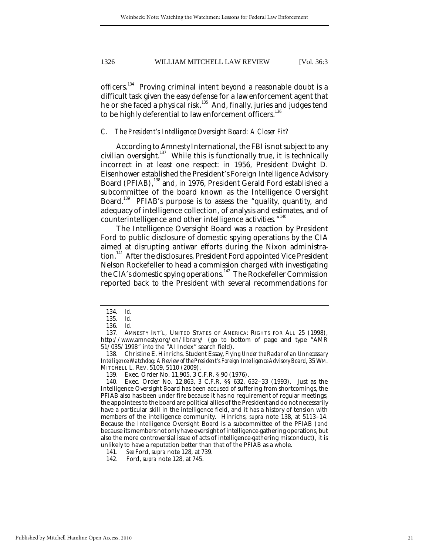officers.<sup>134</sup> Proving criminal intent beyond a reasonable doubt is a difficult task given the easy defense for a law enforcement agent that he or she faced a physical risk.<sup>135</sup> And, finally, juries and judges tend to be highly deferential to law enforcement officers.<sup>136</sup>

## *C. The President's Intelligence Oversight Board: A Closer Fit?*

According to Amnesty International, the FBI is not subject to any civilian oversight. $137$  While this is functionally true, it is technically incorrect in at least one respect: in 1956, President Dwight D. Eisenhower established the President's Foreign Intelligence Advisory Board (PFIAB),<sup>138</sup> and, in 1976, President Gerald Ford established a subcommittee of the board known as the Intelligence Oversight Board.<sup>139</sup> PFIAB's purpose is to assess the "quality, quantity, and adequacy of intelligence collection, of analysis and estimates, and of counterintelligence and other intelligence activities."<sup>140</sup>

The Intelligence Oversight Board was a reaction by President Ford to public disclosure of domestic spying operations by the CIA aimed at disrupting antiwar efforts during the Nixon administration.<sup>141</sup> After the disclosures, President Ford appointed Vice President Nelson Rockefeller to head a commission charged with investigating the CIA's domestic spying operations.<sup>142</sup> The Rockefeller Commission reported back to the President with several recommendations for

 138. Christine E. Hinrichs, Student Essay, *Flying Under the Radar of an Unnecessary Intelligence Watchdog: A Review of the President's Foreign Intelligence Advisory Board*, 35 WM. MITCHELL L. REV. 5109, 5110 (2009).

 140. Exec. Order No. 12,863, 3 C.F.R. §§ 632, 632–33 (1993). Just as the Intelligence Oversight Board has been accused of suffering from shortcomings, the PFIAB also has been under fire because it has no requirement of regular meetings, the appointees to the board are political allies of the President and do not necessarily have a particular skill in the intelligence field, and it has a history of tension with members of the intelligence community. Hinrichs, *supra* note 138, at 5113–14. Because the Intelligence Oversight Board is a subcommittee of the PFIAB (and because its members not only have oversight of intelligence-gathering operations, but also the more controversial issue of acts of intelligence-gathering misconduct), it is unlikely to have a reputation better than that of the PFIAB as a whole.<br>141. See Ford, *supra* note 128, at 739.

141. *See* Ford, *supra* note 128, at 739.

<sup>134</sup>*. Id.*

<sup>135</sup>*. Id.*

<sup>136</sup>*. Id*.

 <sup>137.</sup> AMNESTY INT'L, UNITED STATES OF AMERICA: RIGHTS FOR ALL 25 (1998), http://www.amnesty.org/en/library/ (go to bottom of page and type "AMR 51/035/1998" into the "AI Index" search field).

 <sup>139.</sup> Exec. Order No. 11,905, 3 C.F.R. § 90 (1976).

 <sup>142.</sup> Ford, *supra* note 128, at 745.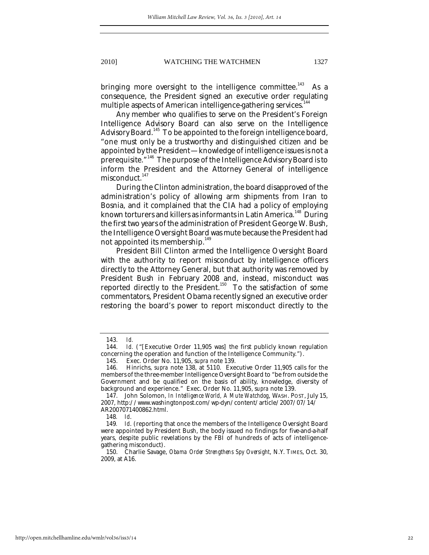bringing more oversight to the intelligence committee.<sup>143</sup> As a consequence, the President signed an executive order regulating multiple aspects of American intelligence-gathering services.<sup>144</sup>

Any member who qualifies to serve on the President's Foreign Intelligence Advisory Board can also serve on the Intelligence Advisory Board.<sup>145</sup> To be appointed to the foreign intelligence board, "one must only be a trustworthy and distinguished citizen and be appointed by the President—knowledge of intelligence issues is not a prerequisite."<sup>146</sup> The purpose of the Intelligence Advisory Board is to inform the President and the Attorney General of intelligence  $misconduct.<sup>147</sup>$ 

During the Clinton administration, the board disapproved of the administration's policy of allowing arm shipments from Iran to Bosnia, and it complained that the CIA had a policy of employing known torturers and killers as informants in Latin America.<sup>148</sup> During the first two years of the administration of President George W. Bush, the Intelligence Oversight Board was mute because the President had not appointed its membership. $^{149}$ 

President Bill Clinton armed the Intelligence Oversight Board with the authority to report misconduct by intelligence officers directly to the Attorney General, but that authority was removed by President Bush in February 2008 and, instead, misconduct was reported directly to the President.<sup>150</sup> To the satisfaction of some commentators, President Obama recently signed an executive order restoring the board's power to report misconduct directly to the

 <sup>143.</sup> *Id.*

Id. ("[Executive Order 11,905 was] the first publicly known regulation concerning the operation and function of the Intelligence Community.").

 <sup>145.</sup> Exec. Order No. 11,905, s*upra* note 139.

 <sup>146.</sup> Hinrichs, *supra* note 138, at 5110. Executive Order 11,905 calls for the members of the three-member Intelligence Oversight Board to "be from outside the Government and be qualified on the basis of ability, knowledge, diversity of background and experience." Exec. Order No. 11,905, s*upra* note 139.

 <sup>147.</sup> John Solomon, *In Intelligence World, A Mute Watchdog*, WASH. POST, July 15, 2007, http://www.washingtonpost.com/wp-dyn/content/article/2007/07/14/ AR2007071400862.html.

<sup>148</sup>*. Id*.

<sup>149</sup>*. Id*. (reporting that once the members of the Intelligence Oversight Board were appointed by President Bush, the body issued no findings for five-and-a-half years, despite public revelations by the FBI of hundreds of acts of intelligencegathering misconduct).

 <sup>150.</sup> Charlie Savage, *Obama Order Strengthens Spy Oversight*, N.Y. TIMES, Oct. 30, 2009, at A16.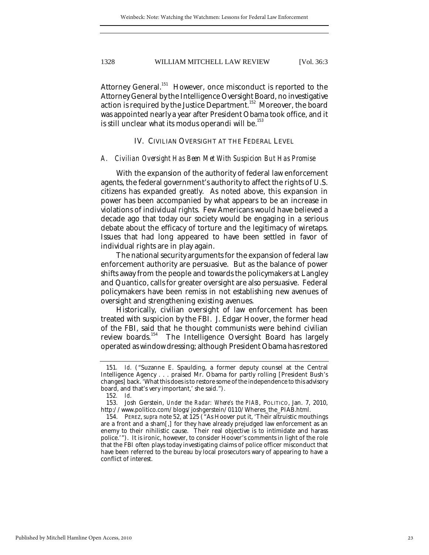Attorney General.<sup>151</sup> However, once misconduct is reported to the Attorney General by the Intelligence Oversight Board, no investigative action is required by the Justice Department.<sup>152</sup> Moreover, the board was appointed nearly a year after President Obama took office, and it is still unclear what its modus operandi will be.<sup>153</sup>

IV. CIVILIAN OVERSIGHT AT THE FEDERAL LEVEL

#### *A. Civilian Oversight Has Been Met With Suspicion But Has Promise*

With the expansion of the authority of federal law enforcement agents, the federal government's authority to affect the rights of U.S. citizens has expanded greatly. As noted above, this expansion in power has been accompanied by what appears to be an increase in violations of individual rights. Few Americans would have believed a decade ago that today our society would be engaging in a serious debate about the efficacy of torture and the legitimacy of wiretaps. Issues that had long appeared to have been settled in favor of individual rights are in play again.

The national security arguments for the expansion of federal law enforcement authority are persuasive. But as the balance of power shifts away from the people and towards the policymakers at Langley and Quantico, calls for greater oversight are also persuasive. Federal policymakers have been remiss in not establishing new avenues of oversight and strengthening existing avenues.

Historically, civilian oversight of law enforcement has been treated with suspicion by the FBI. J. Edgar Hoover, the former head of the FBI, said that he thought communists were behind civilian review boards.<sup>154</sup> The Intelligence Oversight Board has largely operated as window dressing; although President Obama has restored

<sup>151</sup>*. Id*. ("Suzanne E. Spaulding, a former deputy counsel at the Central Intelligence Agency . . . praised Mr. Obama for partly rolling [President Bush's changes] back. 'What this does is to restore some of the independence to this advisory board, and that's very important,' she said.").<br>152.  $Id$ .

<sup>152</sup>*. Id*.

 <sup>153.</sup> Josh Gerstein, *Under the Radar: Where's the PIAB*, POLITICO, Jan. 7, 2010, http://www.politico.com/blogs/joshgerstein/0110/Wheres\_the\_PIAB.html.

 <sup>154.</sup> PEREZ, *supra* note 52, at 125 ("As Hoover put it, 'Their altruistic mouthings are a front and a sham[,] for they have already prejudged law enforcement as an enemy to their nihilistic cause. Their real objective is to intimidate and harass police.'"). It is ironic, however, to consider Hoover's comments in light of the role that the FBI often plays today investigating claims of police officer misconduct that have been referred to the bureau by local prosecutors wary of appearing to have a conflict of interest.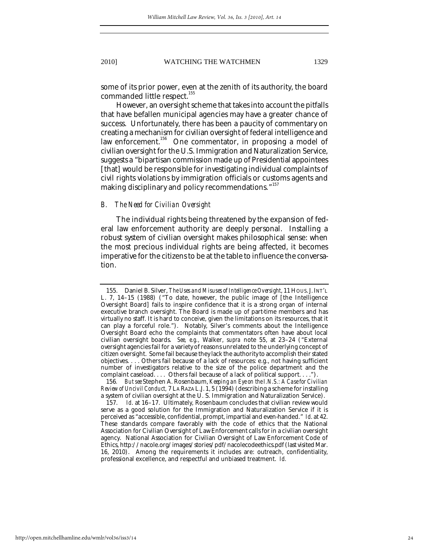some of its prior power, even at the zenith of its authority, the board commanded little respect.<sup>155</sup>

However, an oversight scheme that takes into account the pitfalls that have befallen municipal agencies may have a greater chance of success. Unfortunately, there has been a paucity of commentary on creating a mechanism for civilian oversight of federal intelligence and law enforcement.<sup>156</sup> One commentator, in proposing a model of civilian oversight for the U.S. Immigration and Naturalization Service, suggests a "bipartisan commission made up of Presidential appointees [that] would be responsible for investigating individual complaints of civil rights violations by immigration officials or customs agents and making disciplinary and policy recommendations."<sup>157</sup>

#### *B. The Need for Civilian Oversight*

The individual rights being threatened by the expansion of federal law enforcement authority are deeply personal. Installing a robust system of civilian oversight makes philosophical sense: when the most precious individual rights are being affected, it becomes imperative for the citizens to be at the table to influence the conversation.

 <sup>155.</sup> Daniel B. Silver, *The Uses and Misuses of Intelligence Oversight*, 11 HOUS.J.INT'L L. 7, 14–15 (1988) ("To date, however, the public image of [the Intelligence Oversight Board] fails to inspire confidence that it is a strong organ of internal executive branch oversight. The Board is made up of part-time members and has virtually no staff. It is hard to conceive, given the limitations on its resources, that it can play a forceful role."). Notably, Silver's comments about the Intelligence Oversight Board echo the complaints that commentators often have about local civilian oversight boards. *See, e.g.,* Walker, *supra* note 55, at 23–24 ("External oversight agencies fail for a variety of reasons unrelated to the underlying concept of citizen oversight. Some fail because they lack the authority to accomplish their stated objectives. . . . Others fail because of a lack of resources: e.g., not having sufficient number of investigators relative to the size of the police department and the complaint caseload. . . . Others fail because of a lack of political support. . . .").

<sup>156</sup>*. But see* Stephen A. Rosenbaum, *Keeping an Eye on the I.N.S.: A Case for Civilian Review of Uncivil Conduct,* 7 LA RAZA L.J. 1, 5 (1994) (describing a scheme for installing a system of civilian oversight at the U. S. Immigration and Naturalization Service).

 <sup>157.</sup> *Id*. at 16–17. Ultimately, Rosenbaum concludes that civilian review would serve as a good solution for the Immigration and Naturalization Service if it is perceived as "accessible, confidential, prompt, impartial and even-handed." *Id*. at 42. These standards compare favorably with the code of ethics that the National Association for Civilian Oversight of Law Enforcement calls for in a civilian oversight agency. National Association for Civilian Oversight of Law Enforcement Code of Ethics, http://nacole.org/images/stories/pdf/nacolecodeethics.pdf (last visited Mar. 16, 2010). Among the requirements it includes are: outreach, confidentiality, professional excellence, and respectful and unbiased treatment. *Id.*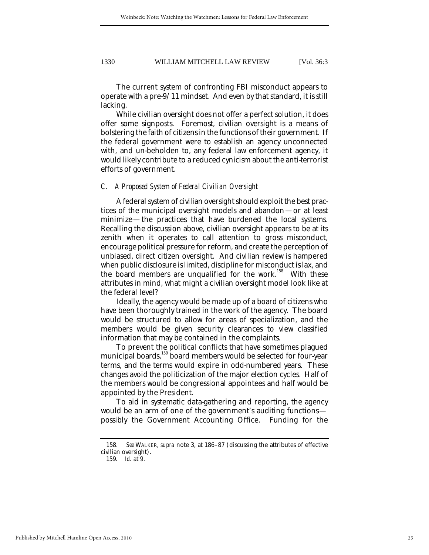The current system of confronting FBI misconduct appears to operate with a pre-9/11 mindset. And even by that standard, it is still lacking.

While civilian oversight does not offer a perfect solution, it does offer some signposts. Foremost, civilian oversight is a means of bolstering the faith of citizens in the functions of their government. If the federal government were to establish an agency unconnected with, and un-beholden to, any federal law enforcement agency, it would likely contribute to a reduced cynicism about the anti-terrorist efforts of government.

#### *C. A Proposed System of Federal Civilian Oversight*

A federal system of civilian oversight should exploit the best practices of the municipal oversight models and abandon—or at least minimize—the practices that have burdened the local systems. Recalling the discussion above, civilian oversight appears to be at its zenith when it operates to call attention to gross misconduct, encourage political pressure for reform, and create the perception of unbiased, direct citizen oversight. And civilian review is hampered when public disclosure is limited, discipline for misconduct is lax, and the board members are unqualified for the work.<sup>158</sup> With these attributes in mind, what might a civilian oversight model look like at the federal level?

Ideally, the agency would be made up of a board of citizens who have been thoroughly trained in the work of the agency. The board would be structured to allow for areas of specialization, and the members would be given security clearances to view classified information that may be contained in the complaints.

To prevent the political conflicts that have sometimes plagued municipal boards,<sup>159</sup> board members would be selected for four-year terms, and the terms would expire in odd-numbered years. These changes avoid the politicization of the major election cycles. Half of the members would be congressional appointees and half would be appointed by the President.

To aid in systematic data-gathering and reporting, the agency would be an arm of one of the government's auditing functions possibly the Government Accounting Office. Funding for the

 <sup>158.</sup> *See* WALKER, *supra* note 3, at 186–87 (discussing the attributes of effective civilian oversight).

<sup>159</sup>*. Id.* at 9.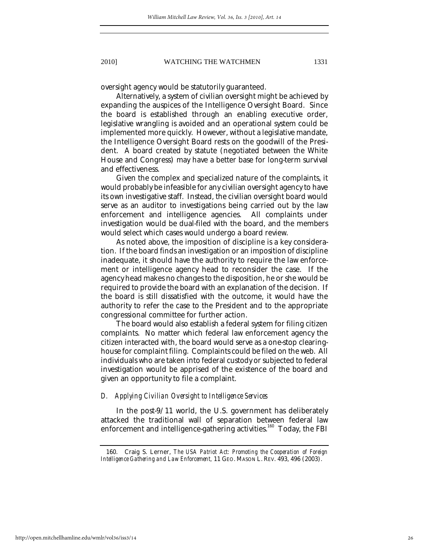oversight agency would be statutorily guaranteed.

Alternatively, a system of civilian oversight might be achieved by expanding the auspices of the Intelligence Oversight Board. Since the board is established through an enabling executive order, legislative wrangling is avoided and an operational system could be implemented more quickly. However, without a legislative mandate, the Intelligence Oversight Board rests on the goodwill of the President. A board created by statute (negotiated between the White House and Congress) may have a better base for long-term survival and effectiveness.

Given the complex and specialized nature of the complaints, it would probably be infeasible for any civilian oversight agency to have its own investigative staff. Instead, the civilian oversight board would serve as an auditor to investigations being carried out by the law enforcement and intelligence agencies. All complaints under investigation would be dual-filed with the board, and the members would select which cases would undergo a board review.

As noted above, the imposition of discipline is a key consideration. If the board finds an investigation or an imposition of discipline inadequate, it should have the authority to require the law enforcement or intelligence agency head to reconsider the case. If the agency head makes no changes to the disposition, he or she would be required to provide the board with an explanation of the decision. If the board is still dissatisfied with the outcome, it would have the authority to refer the case to the President and to the appropriate congressional committee for further action.

The board would also establish a federal system for filing citizen complaints. No matter which federal law enforcement agency the citizen interacted with, the board would serve as a one-stop clearinghouse for complaint filing. Complaints could be filed on the web. All individuals who are taken into federal custody or subjected to federal investigation would be apprised of the existence of the board and given an opportunity to file a complaint.

#### *D. Applying Civilian Oversight to Intelligence Services*

In the post-9/11 world, the U.S. government has deliberately attacked the traditional wall of separation between federal law enforcement and intelligence-gathering activities.<sup>160</sup> Today, the FBI

 <sup>160.</sup> Craig S. Lerner, *The USA Patriot Act: Promoting the Cooperation of Foreign Intelligence Gathering and Law Enforcement,* 11 GEO. MASON L. REV. 493, 496 (2003).